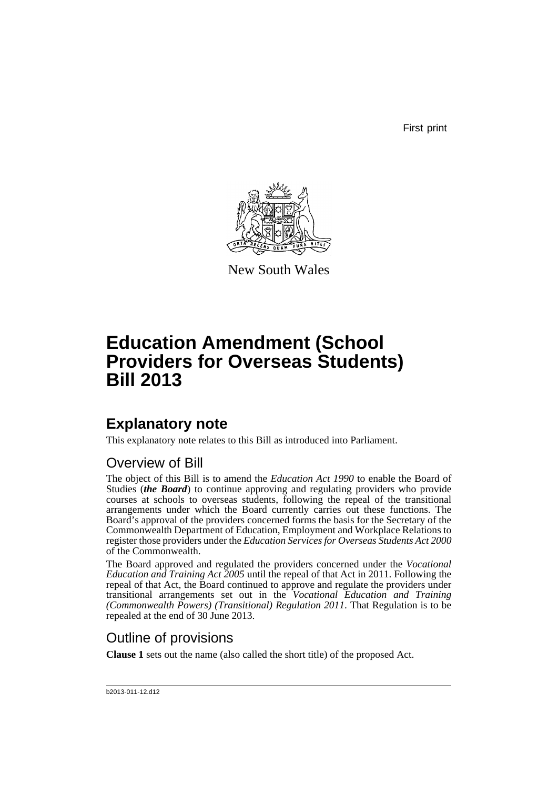First print



New South Wales

# **Education Amendment (School Providers for Overseas Students) Bill 2013**

# **Explanatory note**

This explanatory note relates to this Bill as introduced into Parliament.

## Overview of Bill

The object of this Bill is to amend the *Education Act 1990* to enable the Board of Studies (*the Board*) to continue approving and regulating providers who provide courses at schools to overseas students, following the repeal of the transitional arrangements under which the Board currently carries out these functions. The Board's approval of the providers concerned forms the basis for the Secretary of the Commonwealth Department of Education, Employment and Workplace Relations to register those providers under the *Education Services for Overseas Students Act 2000* of the Commonwealth.

The Board approved and regulated the providers concerned under the *Vocational Education and Training Act 2005* until the repeal of that Act in 2011. Following the repeal of that Act, the Board continued to approve and regulate the providers under transitional arrangements set out in the *Vocational Education and Training (Commonwealth Powers) (Transitional) Regulation 2011*. That Regulation is to be repealed at the end of 30 June 2013.

## Outline of provisions

**Clause 1** sets out the name (also called the short title) of the proposed Act.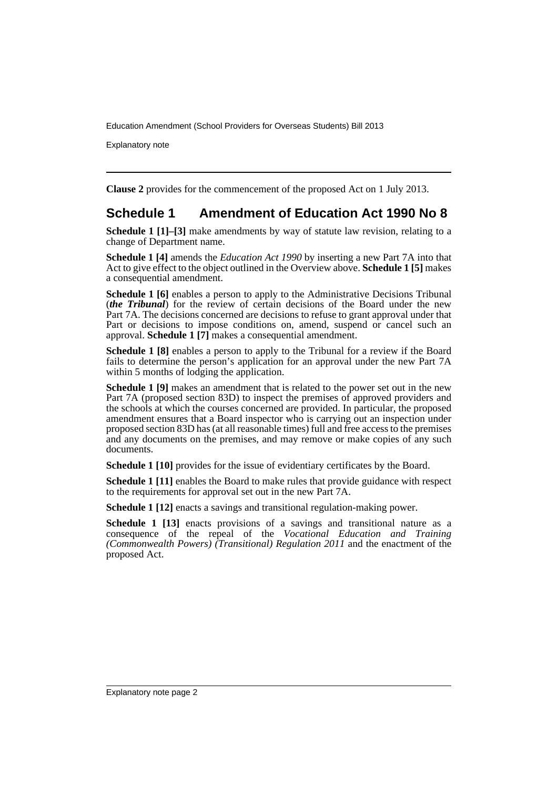Explanatory note

**Clause 2** provides for the commencement of the proposed Act on 1 July 2013.

### **Schedule 1 Amendment of Education Act 1990 No 8**

**Schedule 1 [1]–[3]** make amendments by way of statute law revision, relating to a change of Department name.

**Schedule 1 [4]** amends the *Education Act 1990* by inserting a new Part 7A into that Act to give effect to the object outlined in the Overview above. **Schedule 1 [5]** makes a consequential amendment.

**Schedule 1 [6]** enables a person to apply to the Administrative Decisions Tribunal (*the Tribunal*) for the review of certain decisions of the Board under the new Part 7A. The decisions concerned are decisions to refuse to grant approval under that Part or decisions to impose conditions on, amend, suspend or cancel such an approval. **Schedule 1 [7]** makes a consequential amendment.

**Schedule 1 [8]** enables a person to apply to the Tribunal for a review if the Board fails to determine the person's application for an approval under the new Part 7A within 5 months of lodging the application.

**Schedule 1 [9]** makes an amendment that is related to the power set out in the new Part 7A (proposed section 83D) to inspect the premises of approved providers and the schools at which the courses concerned are provided. In particular, the proposed amendment ensures that a Board inspector who is carrying out an inspection under proposed section 83D has (at all reasonable times) full and free access to the premises and any documents on the premises, and may remove or make copies of any such documents.

**Schedule 1 [10]** provides for the issue of evidentiary certificates by the Board.

**Schedule 1 [11]** enables the Board to make rules that provide guidance with respect to the requirements for approval set out in the new Part 7A.

**Schedule 1 [12]** enacts a savings and transitional regulation-making power.

**Schedule 1 [13]** enacts provisions of a savings and transitional nature as a consequence of the repeal of the *Vocational Education and Training (Commonwealth Powers) (Transitional) Regulation 2011* and the enactment of the proposed Act.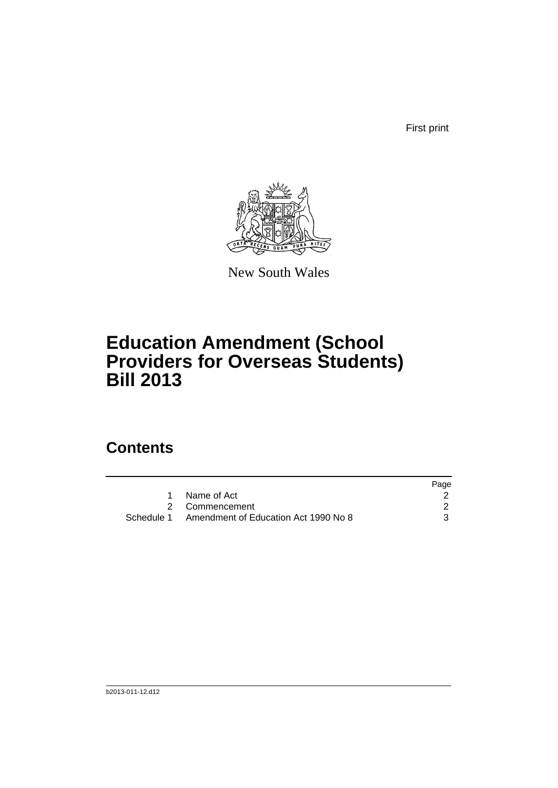First print



New South Wales

# **Education Amendment (School Providers for Overseas Students) Bill 2013**

## **Contents**

|                                                 | Page |
|-------------------------------------------------|------|
| Name of Act                                     |      |
| 2 Commencement                                  |      |
| Schedule 1 Amendment of Education Act 1990 No 8 |      |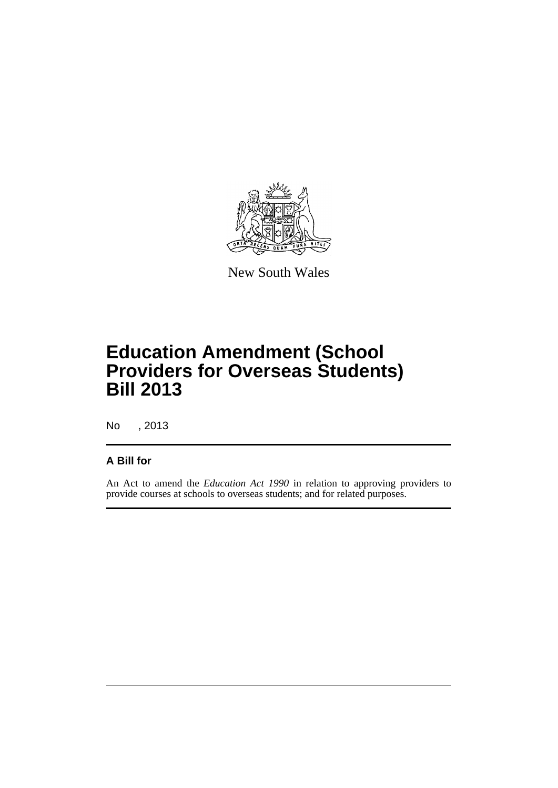

New South Wales

# **Education Amendment (School Providers for Overseas Students) Bill 2013**

No , 2013

### **A Bill for**

An Act to amend the *Education Act 1990* in relation to approving providers to provide courses at schools to overseas students; and for related purposes.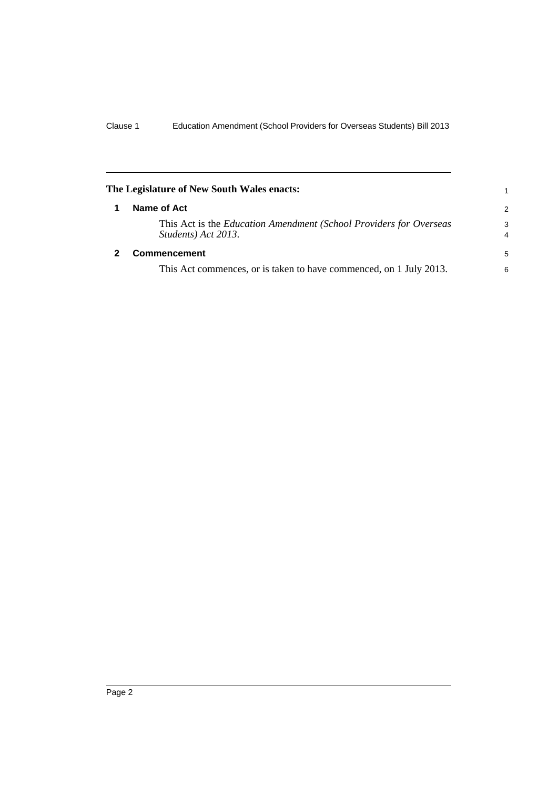<span id="page-5-1"></span><span id="page-5-0"></span>

| The Legislature of New South Wales enacts: |                                                                                           |                     |
|--------------------------------------------|-------------------------------------------------------------------------------------------|---------------------|
|                                            | Name of Act                                                                               | 2                   |
|                                            | This Act is the Education Amendment (School Providers for Overseas<br>Students) Act 2013. | 3<br>$\overline{4}$ |
|                                            | <b>Commencement</b>                                                                       | 5                   |
|                                            | This Act commences, or is taken to have commenced, on 1 July 2013.                        | 6                   |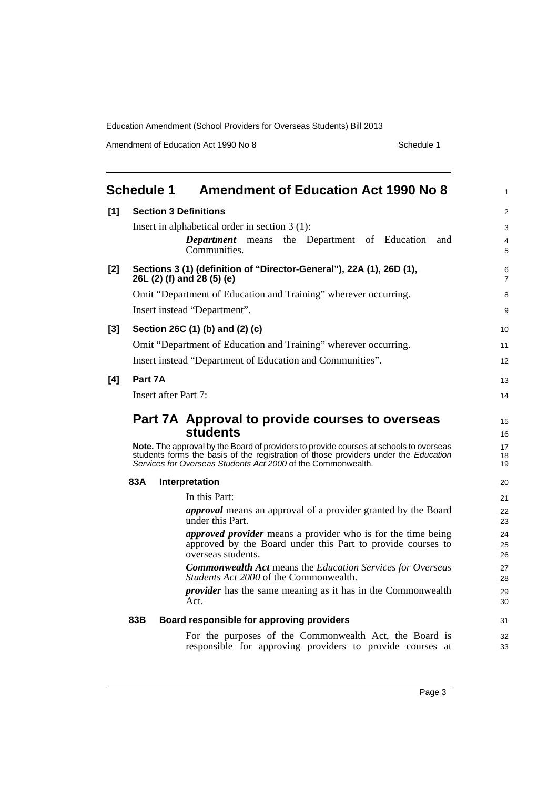Amendment of Education Act 1990 No 8 Schedule 1

<span id="page-6-0"></span>

|       | <b>Schedule 1</b>                                                                                                                                                                                                                             | <b>Amendment of Education Act 1990 No 8</b>                                                                                                              | $\mathbf{1}$        |  |  |  |
|-------|-----------------------------------------------------------------------------------------------------------------------------------------------------------------------------------------------------------------------------------------------|----------------------------------------------------------------------------------------------------------------------------------------------------------|---------------------|--|--|--|
| $[1]$ |                                                                                                                                                                                                                                               | <b>Section 3 Definitions</b>                                                                                                                             | 2                   |  |  |  |
|       |                                                                                                                                                                                                                                               | Insert in alphabetical order in section $3(1)$ :                                                                                                         | 3                   |  |  |  |
|       |                                                                                                                                                                                                                                               | <b>Department</b> means the Department of Education<br>and<br>Communities.                                                                               | $\overline{4}$<br>5 |  |  |  |
| $[2]$ |                                                                                                                                                                                                                                               | Sections 3 (1) (definition of "Director-General"), 22A (1), 26D (1),<br>26L (2) (f) and 28 (5) (e)                                                       | 6<br>$\overline{7}$ |  |  |  |
|       |                                                                                                                                                                                                                                               | Omit "Department of Education and Training" wherever occurring.                                                                                          | 8                   |  |  |  |
|       |                                                                                                                                                                                                                                               | Insert instead "Department".                                                                                                                             | 9                   |  |  |  |
| $[3]$ |                                                                                                                                                                                                                                               | Section 26C (1) (b) and (2) (c)                                                                                                                          | 10                  |  |  |  |
|       |                                                                                                                                                                                                                                               | Omit "Department of Education and Training" wherever occurring.                                                                                          | 11                  |  |  |  |
|       |                                                                                                                                                                                                                                               | Insert instead "Department of Education and Communities".                                                                                                | 12                  |  |  |  |
| [4]   | Part 7A                                                                                                                                                                                                                                       |                                                                                                                                                          | 13                  |  |  |  |
|       |                                                                                                                                                                                                                                               | Insert after Part 7:                                                                                                                                     | 14                  |  |  |  |
|       |                                                                                                                                                                                                                                               | Part 7A Approval to provide courses to overseas<br><b>students</b>                                                                                       | 15<br>16<br>17      |  |  |  |
|       | Note. The approval by the Board of providers to provide courses at schools to overseas<br>students forms the basis of the registration of those providers under the Education<br>Services for Overseas Students Act 2000 of the Commonwealth. |                                                                                                                                                          |                     |  |  |  |
|       | 83A                                                                                                                                                                                                                                           | Interpretation                                                                                                                                           | 20                  |  |  |  |
|       |                                                                                                                                                                                                                                               | In this Part:                                                                                                                                            | 21                  |  |  |  |
|       |                                                                                                                                                                                                                                               | <i>approval</i> means an approval of a provider granted by the Board<br>under this Part.                                                                 | 22<br>23            |  |  |  |
|       |                                                                                                                                                                                                                                               | <i>approved provider</i> means a provider who is for the time being<br>approved by the Board under this Part to provide courses to<br>overseas students. | 24<br>25<br>26      |  |  |  |
|       |                                                                                                                                                                                                                                               | <b>Commonwealth Act means the Education Services for Overseas</b><br>Students Act 2000 of the Commonwealth.                                              | 27<br>28            |  |  |  |
|       |                                                                                                                                                                                                                                               | <i>provider</i> has the same meaning as it has in the Commonwealth<br>Act.                                                                               | 29<br>30            |  |  |  |
|       | 83B                                                                                                                                                                                                                                           | Board responsible for approving providers                                                                                                                | 31                  |  |  |  |
|       |                                                                                                                                                                                                                                               | For the purposes of the Commonwealth Act, the Board is<br>responsible for approving providers to provide courses at                                      | 32<br>33            |  |  |  |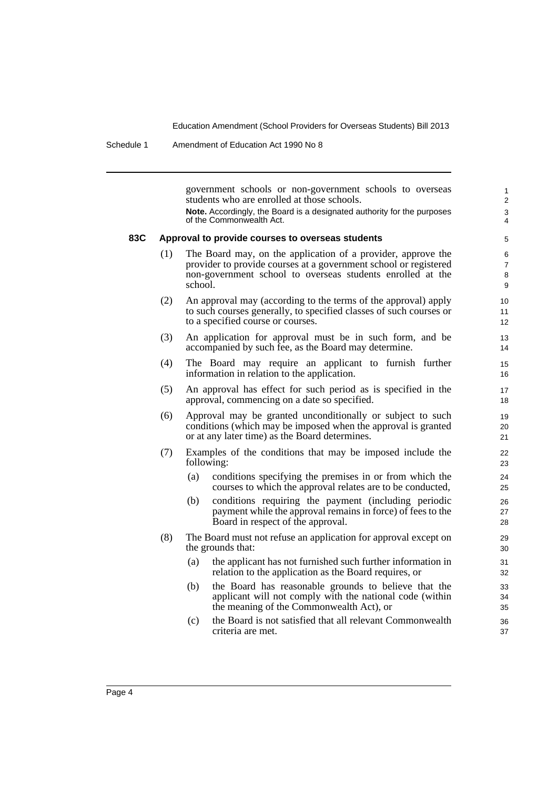Schedule 1 Amendment of Education Act 1990 No 8

government schools or non-government schools to overseas students who are enrolled at those schools.

**Note.** Accordingly, the Board is a designated authority for the purposes of the Commonwealth Act.

#### **83C Approval to provide courses to overseas students**

- (1) The Board may, on the application of a provider, approve the provider to provide courses at a government school or registered non-government school to overseas students enrolled at the school.
- (2) An approval may (according to the terms of the approval) apply to such courses generally, to specified classes of such courses or to a specified course or courses.
- (3) An application for approval must be in such form, and be accompanied by such fee, as the Board may determine.
- (4) The Board may require an applicant to furnish further information in relation to the application.
- (5) An approval has effect for such period as is specified in the approval, commencing on a date so specified.
- (6) Approval may be granted unconditionally or subject to such conditions (which may be imposed when the approval is granted or at any later time) as the Board determines.
- (7) Examples of the conditions that may be imposed include the following:
	- (a) conditions specifying the premises in or from which the courses to which the approval relates are to be conducted,
	- (b) conditions requiring the payment (including periodic payment while the approval remains in force) of fees to the Board in respect of the approval.
- (8) The Board must not refuse an application for approval except on the grounds that:
	- (a) the applicant has not furnished such further information in relation to the application as the Board requires, or
	- (b) the Board has reasonable grounds to believe that the applicant will not comply with the national code (within the meaning of the Commonwealth Act), or
	- (c) the Board is not satisfied that all relevant Commonwealth criteria are met.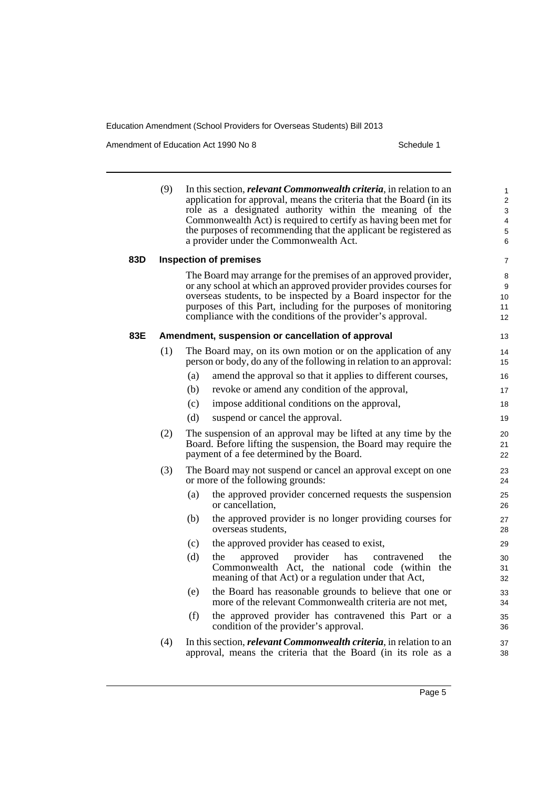Amendment of Education Act 1990 No 8 Schedule 1

|     | (9)                                                                                                                                                                                                                                                                                                                                     | In this section, <i>relevant Commonwealth criteria</i> , in relation to an<br>application for approval, means the criteria that the Board (in its<br>role as a designated authority within the meaning of the<br>Commonwealth Act) is required to certify as having been met for<br>the purposes of recommending that the applicant be registered as<br>a provider under the Commonwealth Act. | $\mathbf{1}$<br>$\overline{2}$<br>3<br>4<br>5<br>6 |  |  |  |  |
|-----|-----------------------------------------------------------------------------------------------------------------------------------------------------------------------------------------------------------------------------------------------------------------------------------------------------------------------------------------|------------------------------------------------------------------------------------------------------------------------------------------------------------------------------------------------------------------------------------------------------------------------------------------------------------------------------------------------------------------------------------------------|----------------------------------------------------|--|--|--|--|
| 83D |                                                                                                                                                                                                                                                                                                                                         | <b>Inspection of premises</b>                                                                                                                                                                                                                                                                                                                                                                  | $\overline{7}$                                     |  |  |  |  |
|     | The Board may arrange for the premises of an approved provider,<br>or any school at which an approved provider provides courses for<br>overseas students, to be inspected by a Board inspector for the<br>purposes of this Part, including for the purposes of monitoring<br>compliance with the conditions of the provider's approval. |                                                                                                                                                                                                                                                                                                                                                                                                |                                                    |  |  |  |  |
| 83E | Amendment, suspension or cancellation of approval<br>13                                                                                                                                                                                                                                                                                 |                                                                                                                                                                                                                                                                                                                                                                                                |                                                    |  |  |  |  |
|     | (1)                                                                                                                                                                                                                                                                                                                                     | The Board may, on its own motion or on the application of any<br>person or body, do any of the following in relation to an approval:                                                                                                                                                                                                                                                           | 14<br>15                                           |  |  |  |  |
|     |                                                                                                                                                                                                                                                                                                                                         | (a)<br>amend the approval so that it applies to different courses,                                                                                                                                                                                                                                                                                                                             | 16                                                 |  |  |  |  |
|     |                                                                                                                                                                                                                                                                                                                                         | revoke or amend any condition of the approval,<br>(b)                                                                                                                                                                                                                                                                                                                                          | 17                                                 |  |  |  |  |
|     |                                                                                                                                                                                                                                                                                                                                         | (c)<br>impose additional conditions on the approval,                                                                                                                                                                                                                                                                                                                                           | 18                                                 |  |  |  |  |
|     |                                                                                                                                                                                                                                                                                                                                         | (d)<br>suspend or cancel the approval.                                                                                                                                                                                                                                                                                                                                                         | 19                                                 |  |  |  |  |
|     | (2)                                                                                                                                                                                                                                                                                                                                     | The suspension of an approval may be lifted at any time by the<br>Board. Before lifting the suspension, the Board may require the<br>payment of a fee determined by the Board.                                                                                                                                                                                                                 | 20<br>21<br>22                                     |  |  |  |  |
|     | (3)                                                                                                                                                                                                                                                                                                                                     | The Board may not suspend or cancel an approval except on one<br>or more of the following grounds:                                                                                                                                                                                                                                                                                             | 23<br>24                                           |  |  |  |  |
|     |                                                                                                                                                                                                                                                                                                                                         | (a)<br>the approved provider concerned requests the suspension<br>or cancellation.                                                                                                                                                                                                                                                                                                             | 25<br>26                                           |  |  |  |  |
|     |                                                                                                                                                                                                                                                                                                                                         | the approved provider is no longer providing courses for<br>(b)<br>overseas students,                                                                                                                                                                                                                                                                                                          | 27<br>28                                           |  |  |  |  |
|     |                                                                                                                                                                                                                                                                                                                                         | (c)<br>the approved provider has ceased to exist,                                                                                                                                                                                                                                                                                                                                              | 29                                                 |  |  |  |  |
|     |                                                                                                                                                                                                                                                                                                                                         | (d)<br>provider<br>has<br>the<br>the<br>approved<br>contravened<br>Commonwealth Act, the national code (within<br>the<br>meaning of that Act) or a regulation under that Act,                                                                                                                                                                                                                  | 30<br>31<br>32                                     |  |  |  |  |
|     |                                                                                                                                                                                                                                                                                                                                         | the Board has reasonable grounds to believe that one or<br>(e)<br>more of the relevant Commonwealth criteria are not met,                                                                                                                                                                                                                                                                      | 33<br>34                                           |  |  |  |  |
|     |                                                                                                                                                                                                                                                                                                                                         | (f)<br>the approved provider has contravened this Part or a<br>condition of the provider's approval.                                                                                                                                                                                                                                                                                           | 35<br>36                                           |  |  |  |  |
|     | (4)                                                                                                                                                                                                                                                                                                                                     | In this section, <i>relevant Commonwealth criteria</i> , in relation to an<br>approval, means the criteria that the Board (in its role as a                                                                                                                                                                                                                                                    | 37<br>38                                           |  |  |  |  |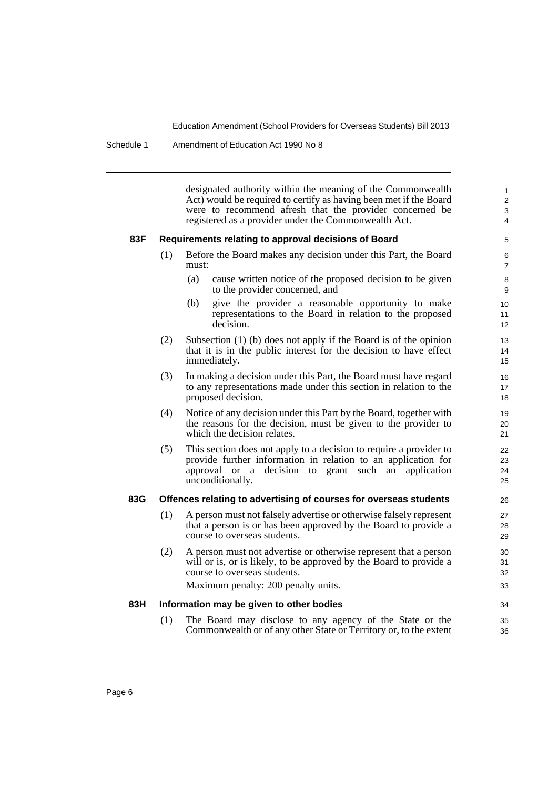Schedule 1 Amendment of Education Act 1990 No 8

designated authority within the meaning of the Commonwealth Act) would be required to certify as having been met if the Board were to recommend afresh that the provider concerned be registered as a provider under the Commonwealth Act.

34 35 36

#### **83F Requirements relating to approval decisions of Board**

- (1) Before the Board makes any decision under this Part, the Board must:
	- (a) cause written notice of the proposed decision to be given to the provider concerned, and
	- (b) give the provider a reasonable opportunity to make representations to the Board in relation to the proposed decision.
- (2) Subsection (1) (b) does not apply if the Board is of the opinion that it is in the public interest for the decision to have effect immediately.
- (3) In making a decision under this Part, the Board must have regard to any representations made under this section in relation to the proposed decision.
- (4) Notice of any decision under this Part by the Board, together with the reasons for the decision, must be given to the provider to which the decision relates.
- (5) This section does not apply to a decision to require a provider to provide further information in relation to an application for approval or a decision to grant such an application unconditionally.

#### **83G Offences relating to advertising of courses for overseas students**

- (1) A person must not falsely advertise or otherwise falsely represent that a person is or has been approved by the Board to provide a course to overseas students.
- (2) A person must not advertise or otherwise represent that a person will or is, or is likely, to be approved by the Board to provide a course to overseas students.

Maximum penalty: 200 penalty units.

#### **83H Information may be given to other bodies**

(1) The Board may disclose to any agency of the State or the Commonwealth or of any other State or Territory or, to the extent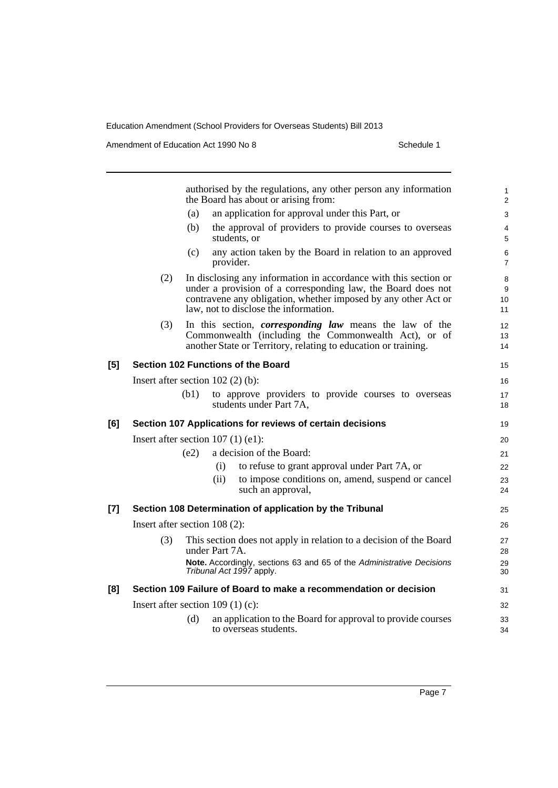Amendment of Education Act 1990 No 8 Schedule 1

|       |                                                                                             |      |           | authorised by the regulations, any other person any information<br>the Board has about or arising from:                                                                                                                                     | 1<br>$\overline{2}$ |  |
|-------|---------------------------------------------------------------------------------------------|------|-----------|---------------------------------------------------------------------------------------------------------------------------------------------------------------------------------------------------------------------------------------------|---------------------|--|
|       |                                                                                             | (a)  |           | an application for approval under this Part, or                                                                                                                                                                                             | 3                   |  |
|       |                                                                                             | (b)  |           | the approval of providers to provide courses to overseas<br>students, or                                                                                                                                                                    | 4<br>5              |  |
|       |                                                                                             | (c)  | provider. | any action taken by the Board in relation to an approved                                                                                                                                                                                    | 6<br>7              |  |
|       | (2)                                                                                         |      |           | In disclosing any information in accordance with this section or<br>under a provision of a corresponding law, the Board does not<br>contravene any obligation, whether imposed by any other Act or<br>law, not to disclose the information. | 8<br>9<br>10<br>11  |  |
|       | (3)                                                                                         |      |           | In this section, <i>corresponding law</i> means the law of the<br>Commonwealth (including the Commonwealth Act), or of<br>another State or Territory, relating to education or training.                                                    | 12<br>13<br>14      |  |
| [5]   | Section 102 Functions of the Board                                                          |      |           |                                                                                                                                                                                                                                             | 15                  |  |
|       | Insert after section $102(2)$ (b):                                                          |      |           |                                                                                                                                                                                                                                             |                     |  |
|       |                                                                                             | (b1) |           | to approve providers to provide courses to overseas<br>students under Part 7A,                                                                                                                                                              | 17<br>18            |  |
| [6]   |                                                                                             |      |           | Section 107 Applications for reviews of certain decisions                                                                                                                                                                                   | 19                  |  |
|       | Insert after section $107$ (1) (e1):                                                        |      |           |                                                                                                                                                                                                                                             |                     |  |
|       |                                                                                             | (e2) |           | a decision of the Board:                                                                                                                                                                                                                    | 21                  |  |
|       |                                                                                             |      | (i)       | to refuse to grant approval under Part 7A, or                                                                                                                                                                                               | 22                  |  |
|       |                                                                                             |      | (ii)      | to impose conditions on, amend, suspend or cancel<br>such an approval,                                                                                                                                                                      | 23<br>24            |  |
| $[7]$ |                                                                                             |      |           | Section 108 Determination of application by the Tribunal                                                                                                                                                                                    | 25                  |  |
|       | Insert after section 108 (2):                                                               |      |           |                                                                                                                                                                                                                                             | 26                  |  |
|       | (3)<br>This section does not apply in relation to a decision of the Board<br>under Part 7A. |      |           |                                                                                                                                                                                                                                             |                     |  |
|       |                                                                                             |      |           | Note. Accordingly, sections 63 and 65 of the Administrative Decisions<br>Tribunal Act 1997 apply.                                                                                                                                           | 29<br>30            |  |
| [8]   | Section 109 Failure of Board to make a recommendation or decision                           |      |           |                                                                                                                                                                                                                                             | 31                  |  |
|       | Insert after section $109(1)(c)$ :                                                          |      |           |                                                                                                                                                                                                                                             |                     |  |
|       |                                                                                             | (d)  |           | an application to the Board for approval to provide courses<br>to overseas students.                                                                                                                                                        | 33<br>34            |  |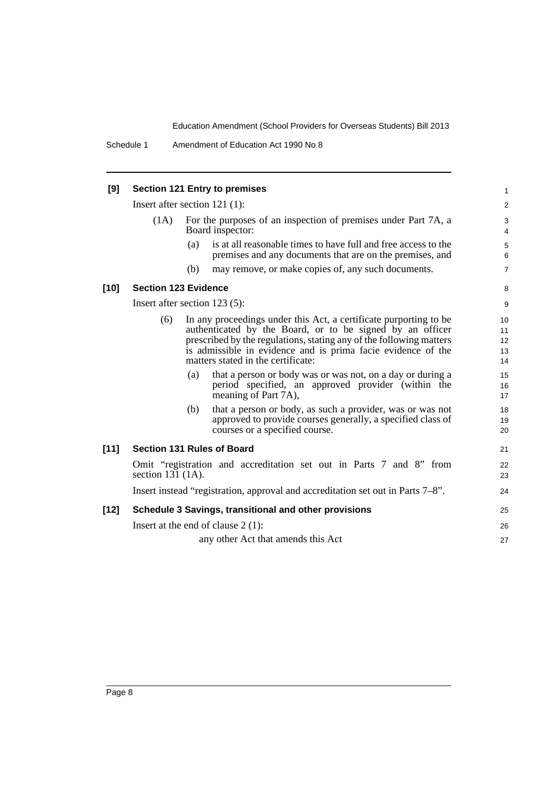| [9]    | <b>Section 121 Entry to premises</b>                                                                                                                                                                                                                                                                                                                                                                                                                                                                                                                                                                     |                                                                                    |                                                                                                                            |                  |  |
|--------|----------------------------------------------------------------------------------------------------------------------------------------------------------------------------------------------------------------------------------------------------------------------------------------------------------------------------------------------------------------------------------------------------------------------------------------------------------------------------------------------------------------------------------------------------------------------------------------------------------|------------------------------------------------------------------------------------|----------------------------------------------------------------------------------------------------------------------------|------------------|--|
|        | Insert after section $121$ (1):                                                                                                                                                                                                                                                                                                                                                                                                                                                                                                                                                                          |                                                                                    |                                                                                                                            |                  |  |
|        | (1A)                                                                                                                                                                                                                                                                                                                                                                                                                                                                                                                                                                                                     | For the purposes of an inspection of premises under Part 7A, a<br>Board inspector: |                                                                                                                            |                  |  |
|        |                                                                                                                                                                                                                                                                                                                                                                                                                                                                                                                                                                                                          | (a)                                                                                | is at all reasonable times to have full and free access to the<br>premises and any documents that are on the premises, and | $\,$ 5 $\,$<br>6 |  |
|        |                                                                                                                                                                                                                                                                                                                                                                                                                                                                                                                                                                                                          | (b)                                                                                | may remove, or make copies of, any such documents.                                                                         | $\overline{7}$   |  |
| $[10]$ | <b>Section 123 Evidence</b>                                                                                                                                                                                                                                                                                                                                                                                                                                                                                                                                                                              |                                                                                    |                                                                                                                            |                  |  |
|        | Insert after section $123(5)$ :                                                                                                                                                                                                                                                                                                                                                                                                                                                                                                                                                                          |                                                                                    |                                                                                                                            |                  |  |
|        | (6)<br>In any proceedings under this Act, a certificate purporting to be<br>authenticated by the Board, or to be signed by an officer<br>prescribed by the regulations, stating any of the following matters<br>is admissible in evidence and is prima facie evidence of the<br>matters stated in the certificate:<br>that a person or body was or was not, on a day or during a<br>(a)<br>period specified, an approved provider (within the<br>meaning of Part 7A),<br>that a person or body, as such a provider, was or was not<br>(b)<br>approved to provide courses generally, a specified class of |                                                                                    |                                                                                                                            |                  |  |
|        |                                                                                                                                                                                                                                                                                                                                                                                                                                                                                                                                                                                                          |                                                                                    | courses or a specified course.                                                                                             | 20               |  |
| $[11]$ | <b>Section 131 Rules of Board</b>                                                                                                                                                                                                                                                                                                                                                                                                                                                                                                                                                                        |                                                                                    |                                                                                                                            |                  |  |
|        | Omit "registration and accreditation set out in Parts 7 and 8" from<br>section $131$ (1A).                                                                                                                                                                                                                                                                                                                                                                                                                                                                                                               |                                                                                    |                                                                                                                            |                  |  |
|        | Insert instead "registration, approval and accreditation set out in Parts 7–8".                                                                                                                                                                                                                                                                                                                                                                                                                                                                                                                          |                                                                                    |                                                                                                                            |                  |  |
| $[12]$ | Schedule 3 Savings, transitional and other provisions                                                                                                                                                                                                                                                                                                                                                                                                                                                                                                                                                    |                                                                                    |                                                                                                                            |                  |  |
|        | Insert at the end of clause $2(1)$ :                                                                                                                                                                                                                                                                                                                                                                                                                                                                                                                                                                     |                                                                                    |                                                                                                                            |                  |  |
|        |                                                                                                                                                                                                                                                                                                                                                                                                                                                                                                                                                                                                          |                                                                                    | any other Act that amends this Act                                                                                         | 27               |  |